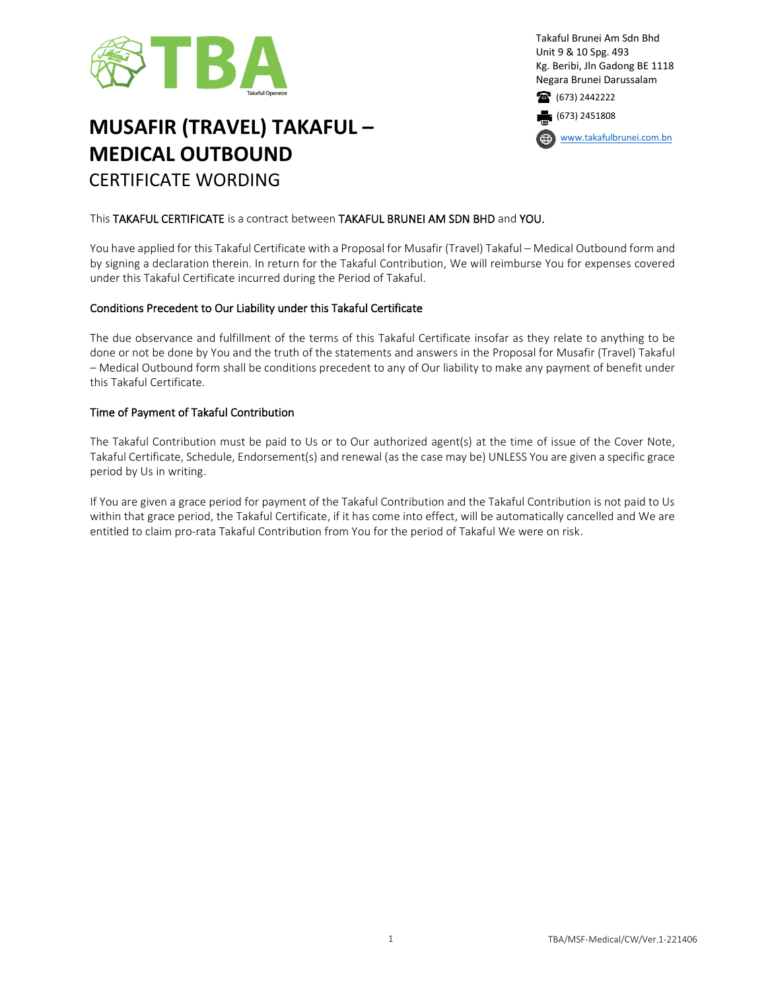

# **MUSAFIR (TRAVEL) TAKAFUL – MEDICAL OUTBOUND** CERTIFICATE WORDING

Takaful Brunei Am Sdn Bhd Unit 9 & 10 Spg. 493 Kg. Beribi, Jln Gadong BE 1118 Negara Brunei Darussalam 1673) 2442222

(673) 2451808

[www.takafulbrunei.com.bn](http://www.takafulbrunei.com.bn/)

#### This TAKAFUL CERTIFICATE is a contract between TAKAFUL BRUNEI AM SDN BHD and YOU.

You have applied for this Takaful Certificate with a Proposal for Musafir (Travel) Takaful – Medical Outbound form and by signing a declaration therein. In return for the Takaful Contribution, We will reimburse You for expenses covered under this Takaful Certificate incurred during the Period of Takaful.

#### Conditions Precedent to Our Liability under this Takaful Certificate

The due observance and fulfillment of the terms of this Takaful Certificate insofar as they relate to anything to be done or not be done by You and the truth of the statements and answers in the Proposal for Musafir (Travel) Takaful – Medical Outbound form shall be conditions precedent to any of Our liability to make any payment of benefit under this Takaful Certificate.

#### Time of Payment of Takaful Contribution

The Takaful Contribution must be paid to Us or to Our authorized agent(s) at the time of issue of the Cover Note, Takaful Certificate, Schedule, Endorsement(s) and renewal (as the case may be) UNLESS You are given a specific grace period by Us in writing.

If You are given a grace period for payment of the Takaful Contribution and the Takaful Contribution is not paid to Us within that grace period, the Takaful Certificate, if it has come into effect, will be automatically cancelled and We are entitled to claim pro-rata Takaful Contribution from You for the period of Takaful We were on risk.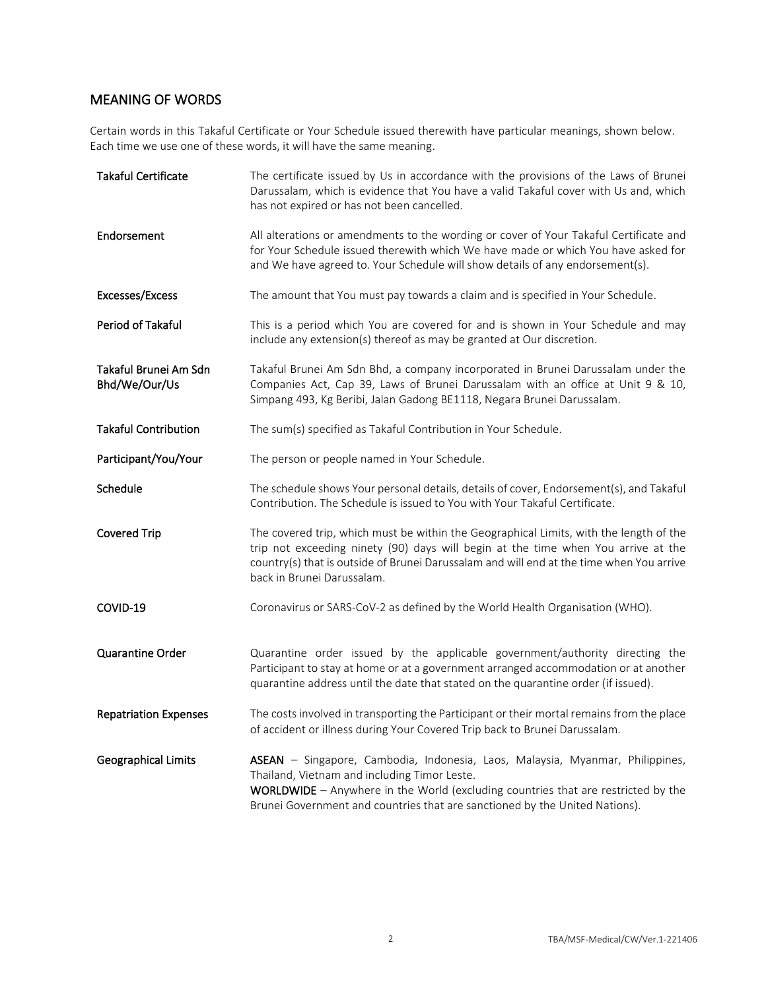## MEANING OF WORDS

Certain words in this Takaful Certificate or Your Schedule issued therewith have particular meanings, shown below. Each time we use one of these words, it will have the same meaning.

| <b>Takaful Certificate</b>             | The certificate issued by Us in accordance with the provisions of the Laws of Brunei<br>Darussalam, which is evidence that You have a valid Takaful cover with Us and, which<br>has not expired or has not been cancelled.                                                                                 |
|----------------------------------------|------------------------------------------------------------------------------------------------------------------------------------------------------------------------------------------------------------------------------------------------------------------------------------------------------------|
| Endorsement                            | All alterations or amendments to the wording or cover of Your Takaful Certificate and<br>for Your Schedule issued therewith which We have made or which You have asked for<br>and We have agreed to. Your Schedule will show details of any endorsement(s).                                                |
| Excesses/Excess                        | The amount that You must pay towards a claim and is specified in Your Schedule.                                                                                                                                                                                                                            |
| Period of Takaful                      | This is a period which You are covered for and is shown in Your Schedule and may<br>include any extension(s) thereof as may be granted at Our discretion.                                                                                                                                                  |
| Takaful Brunei Am Sdn<br>Bhd/We/Our/Us | Takaful Brunei Am Sdn Bhd, a company incorporated in Brunei Darussalam under the<br>Companies Act, Cap 39, Laws of Brunei Darussalam with an office at Unit 9 & 10,<br>Simpang 493, Kg Beribi, Jalan Gadong BE1118, Negara Brunei Darussalam.                                                              |
| <b>Takaful Contribution</b>            | The sum(s) specified as Takaful Contribution in Your Schedule.                                                                                                                                                                                                                                             |
| Participant/You/Your                   | The person or people named in Your Schedule.                                                                                                                                                                                                                                                               |
| Schedule                               | The schedule shows Your personal details, details of cover, Endorsement(s), and Takaful<br>Contribution. The Schedule is issued to You with Your Takaful Certificate.                                                                                                                                      |
| <b>Covered Trip</b>                    | The covered trip, which must be within the Geographical Limits, with the length of the<br>trip not exceeding ninety (90) days will begin at the time when You arrive at the<br>country(s) that is outside of Brunei Darussalam and will end at the time when You arrive<br>back in Brunei Darussalam.      |
| COVID-19                               | Coronavirus or SARS-CoV-2 as defined by the World Health Organisation (WHO).                                                                                                                                                                                                                               |
| Quarantine Order                       | Quarantine order issued by the applicable government/authority directing the<br>Participant to stay at home or at a government arranged accommodation or at another<br>quarantine address until the date that stated on the quarantine order (if issued).                                                  |
| <b>Repatriation Expenses</b>           | The costs involved in transporting the Participant or their mortal remains from the place<br>of accident or illness during Your Covered Trip back to Brunei Darussalam.                                                                                                                                    |
| <b>Geographical Limits</b>             | ASEAN - Singapore, Cambodia, Indonesia, Laos, Malaysia, Myanmar, Philippines,<br>Thailand, Vietnam and including Timor Leste.<br><b>WORLDWIDE</b> $-$ Anywhere in the World (excluding countries that are restricted by the<br>Brunei Government and countries that are sanctioned by the United Nations). |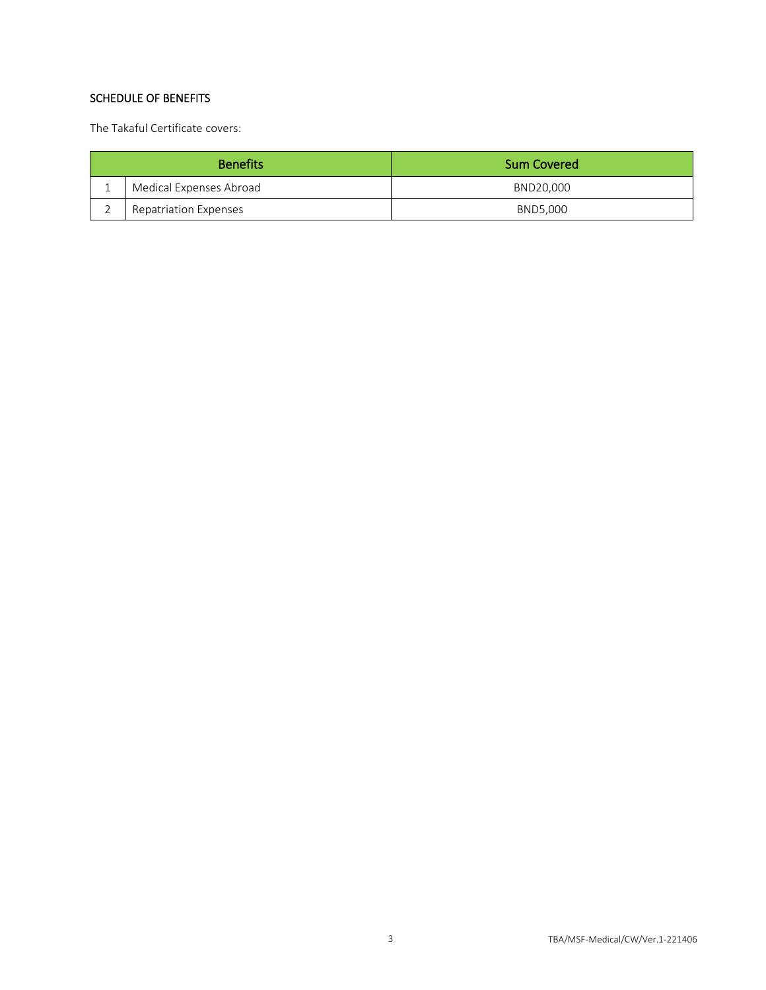### SCHEDULE OF BENEFITS

The Takaful Certificate covers:

| <b>Benefits</b> |                              | <b>Sum Covered</b> |
|-----------------|------------------------------|--------------------|
| ᅩ               | Medical Expenses Abroad      | BND20,000          |
|                 | <b>Repatriation Expenses</b> | BND5.000           |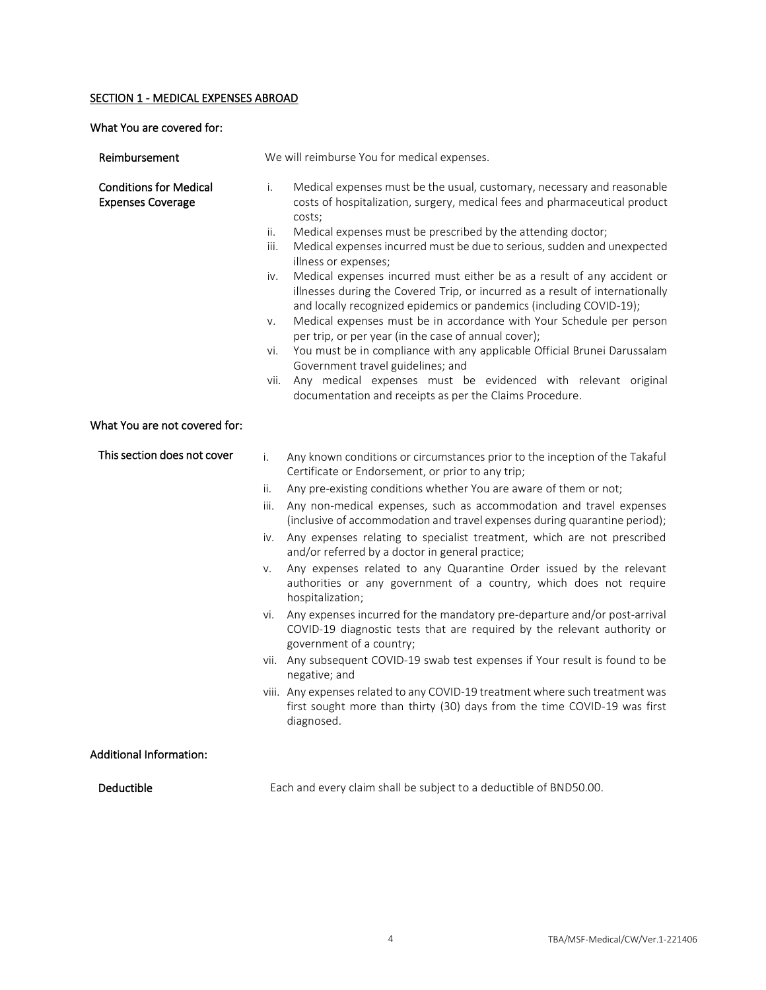#### SECTION 1 - MEDICAL EXPENSES ABROAD

What You are covered for:

| Reimbursement                                             | We will reimburse You for medical expenses.                                                                                                                                                                                                                                                                                                                                                                                                                                                                                                                                                                                                                                                                                                                                                                                                                                                                                                                                                                                                                                                                                                                        |
|-----------------------------------------------------------|--------------------------------------------------------------------------------------------------------------------------------------------------------------------------------------------------------------------------------------------------------------------------------------------------------------------------------------------------------------------------------------------------------------------------------------------------------------------------------------------------------------------------------------------------------------------------------------------------------------------------------------------------------------------------------------------------------------------------------------------------------------------------------------------------------------------------------------------------------------------------------------------------------------------------------------------------------------------------------------------------------------------------------------------------------------------------------------------------------------------------------------------------------------------|
| <b>Conditions for Medical</b><br><b>Expenses Coverage</b> | i.<br>Medical expenses must be the usual, customary, necessary and reasonable<br>costs of hospitalization, surgery, medical fees and pharmaceutical product<br>costs;<br>ii.<br>Medical expenses must be prescribed by the attending doctor;<br>iii.<br>Medical expenses incurred must be due to serious, sudden and unexpected<br>illness or expenses;<br>Medical expenses incurred must either be as a result of any accident or<br>iv.<br>illnesses during the Covered Trip, or incurred as a result of internationally<br>and locally recognized epidemics or pandemics (including COVID-19);<br>Medical expenses must be in accordance with Your Schedule per person<br>V.<br>per trip, or per year (in the case of annual cover);<br>You must be in compliance with any applicable Official Brunei Darussalam<br>vi.<br>Government travel guidelines; and<br>Any medical expenses must be evidenced with relevant original<br>vii.<br>documentation and receipts as per the Claims Procedure.                                                                                                                                                                |
| What You are not covered for:                             |                                                                                                                                                                                                                                                                                                                                                                                                                                                                                                                                                                                                                                                                                                                                                                                                                                                                                                                                                                                                                                                                                                                                                                    |
| This section does not cover                               | Any known conditions or circumstances prior to the inception of the Takaful<br>i.<br>Certificate or Endorsement, or prior to any trip;<br>Any pre-existing conditions whether You are aware of them or not;<br>ii.<br>Any non-medical expenses, such as accommodation and travel expenses<br>iii.<br>(inclusive of accommodation and travel expenses during quarantine period);<br>Any expenses relating to specialist treatment, which are not prescribed<br>iv.<br>and/or referred by a doctor in general practice;<br>Any expenses related to any Quarantine Order issued by the relevant<br>V.<br>authorities or any government of a country, which does not require<br>hospitalization;<br>vi. Any expenses incurred for the mandatory pre-departure and/or post-arrival<br>COVID-19 diagnostic tests that are required by the relevant authority or<br>government of a country;<br>vii. Any subsequent COVID-19 swab test expenses if Your result is found to be<br>negative; and<br>viii. Any expenses related to any COVID-19 treatment where such treatment was<br>first sought more than thirty (30) days from the time COVID-19 was first<br>diagnosed. |
| <b>Additional Information:</b>                            |                                                                                                                                                                                                                                                                                                                                                                                                                                                                                                                                                                                                                                                                                                                                                                                                                                                                                                                                                                                                                                                                                                                                                                    |
| Deductible                                                | Each and every claim shall be subject to a deductible of BND50.00.                                                                                                                                                                                                                                                                                                                                                                                                                                                                                                                                                                                                                                                                                                                                                                                                                                                                                                                                                                                                                                                                                                 |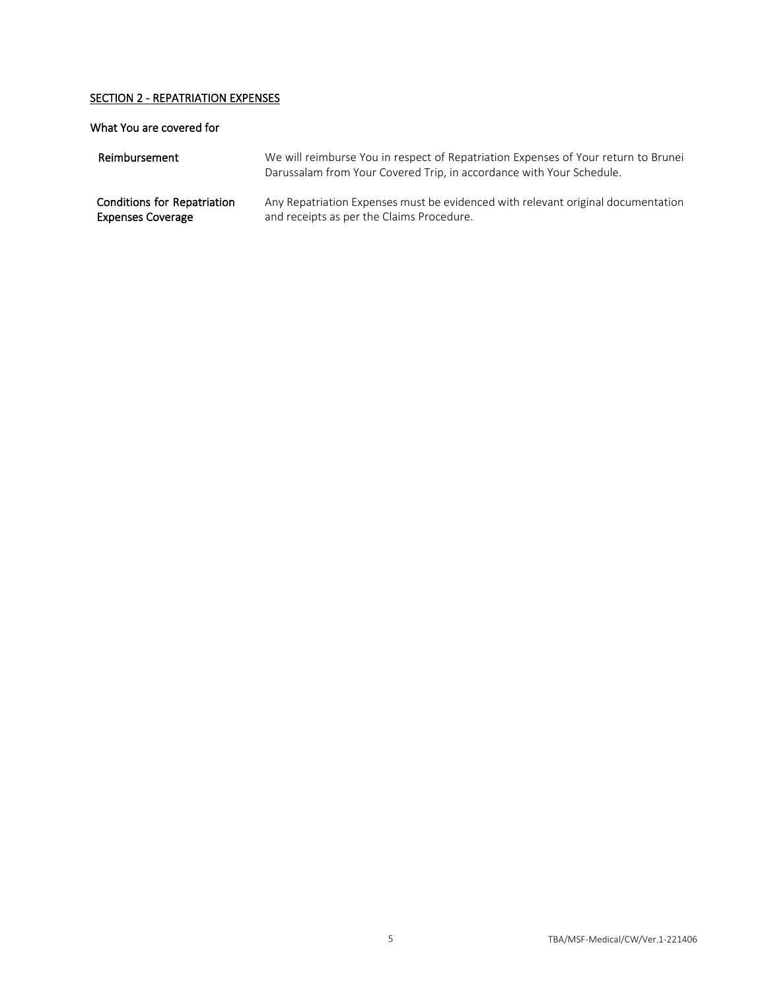## SECTION 2 - REPATRIATION EXPENSES

#### What You are covered for

| Reimbursement                      | We will reimburse You in respect of Repatriation Expenses of Your return to Brunei<br>Darussalam from Your Covered Trip, in accordance with Your Schedule. |
|------------------------------------|------------------------------------------------------------------------------------------------------------------------------------------------------------|
| <b>Conditions for Repatriation</b> | Any Repatriation Expenses must be evidenced with relevant original documentation                                                                           |
| <b>Expenses Coverage</b>           | and receipts as per the Claims Procedure.                                                                                                                  |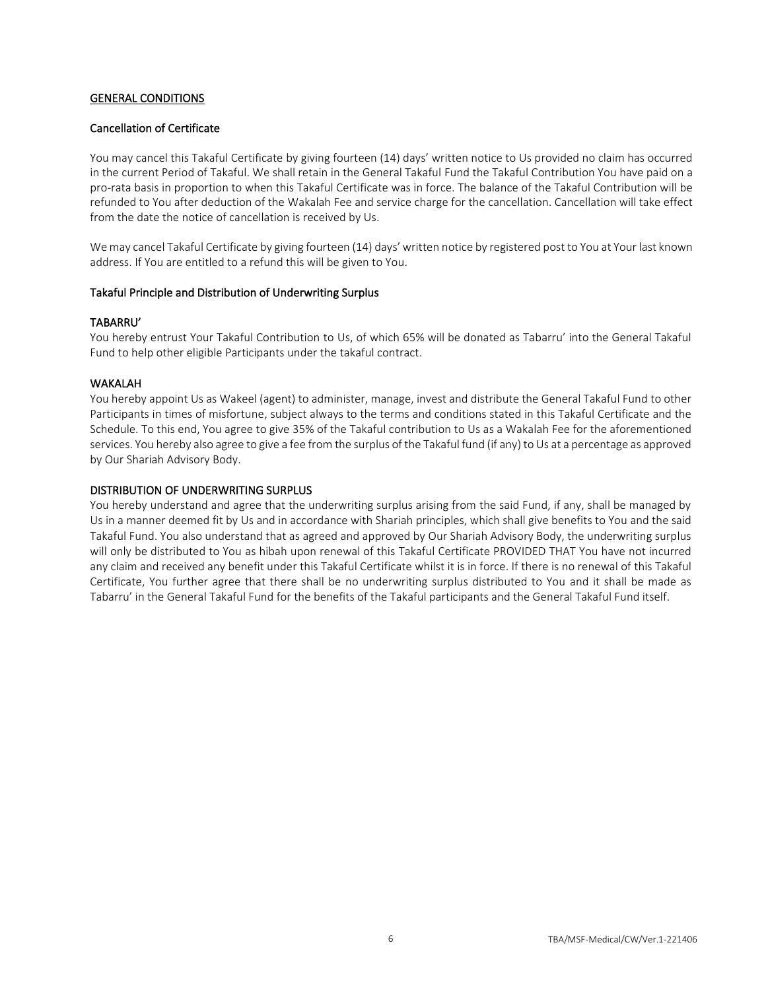#### GENERAL CONDITIONS

#### Cancellation of Certificate

You may cancel this Takaful Certificate by giving fourteen (14) days' written notice to Us provided no claim has occurred in the current Period of Takaful. We shall retain in the General Takaful Fund the Takaful Contribution You have paid on a pro-rata basis in proportion to when this Takaful Certificate was in force. The balance of the Takaful Contribution will be refunded to You after deduction of the Wakalah Fee and service charge for the cancellation. Cancellation will take effect from the date the notice of cancellation is received by Us.

We may cancel Takaful Certificate by giving fourteen (14) days' written notice by registered post to You at Your last known address. If You are entitled to a refund this will be given to You.

#### Takaful Principle and Distribution of Underwriting Surplus

#### TABARRU'

You hereby entrust Your Takaful Contribution to Us, of which 65% will be donated as Tabarru' into the General Takaful Fund to help other eligible Participants under the takaful contract.

#### WAKALAH

You hereby appoint Us as Wakeel (agent) to administer, manage, invest and distribute the General Takaful Fund to other Participants in times of misfortune, subject always to the terms and conditions stated in this Takaful Certificate and the Schedule. To this end, You agree to give 35% of the Takaful contribution to Us as a Wakalah Fee for the aforementioned services. You hereby also agree to give a fee from the surplus of the Takaful fund (if any) to Us at a percentage as approved by Our Shariah Advisory Body.

#### DISTRIBUTION OF UNDERWRITING SURPLUS

You hereby understand and agree that the underwriting surplus arising from the said Fund, if any, shall be managed by Us in a manner deemed fit by Us and in accordance with Shariah principles, which shall give benefits to You and the said Takaful Fund. You also understand that as agreed and approved by Our Shariah Advisory Body, the underwriting surplus will only be distributed to You as hibah upon renewal of this Takaful Certificate PROVIDED THAT You have not incurred any claim and received any benefit under this Takaful Certificate whilst it is in force. If there is no renewal of this Takaful Certificate, You further agree that there shall be no underwriting surplus distributed to You and it shall be made as Tabarru' in the General Takaful Fund for the benefits of the Takaful participants and the General Takaful Fund itself.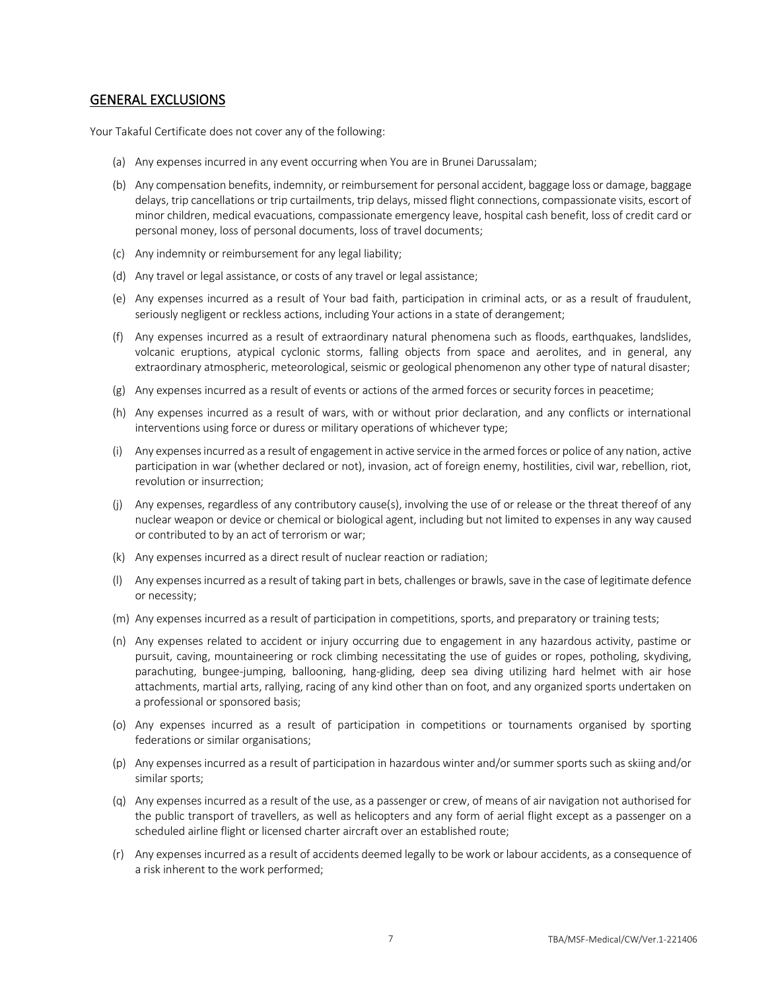#### GENERAL EXCLUSIONS

Your Takaful Certificate does not cover any of the following:

- (a) Any expenses incurred in any event occurring when You are in Brunei Darussalam;
- (b) Any compensation benefits, indemnity, or reimbursement for personal accident, baggage loss or damage, baggage delays, trip cancellations or trip curtailments, trip delays, missed flight connections, compassionate visits, escort of minor children, medical evacuations, compassionate emergency leave, hospital cash benefit, loss of credit card or personal money, loss of personal documents, loss of travel documents;
- (c) Any indemnity or reimbursement for any legal liability;
- (d) Any travel or legal assistance, or costs of any travel or legal assistance;
- (e) Any expenses incurred as a result of Your bad faith, participation in criminal acts, or as a result of fraudulent, seriously negligent or reckless actions, including Your actions in a state of derangement;
- (f) Any expenses incurred as a result of extraordinary natural phenomena such as floods, earthquakes, landslides, volcanic eruptions, atypical cyclonic storms, falling objects from space and aerolites, and in general, any extraordinary atmospheric, meteorological, seismic or geological phenomenon any other type of natural disaster;
- (g) Any expenses incurred as a result of events or actions of the armed forces or security forces in peacetime;
- (h) Any expenses incurred as a result of wars, with or without prior declaration, and any conflicts or international interventions using force or duress or military operations of whichever type;
- (i) Any expenses incurred as a result of engagement in active service in the armed forces or police of any nation, active participation in war (whether declared or not), invasion, act of foreign enemy, hostilities, civil war, rebellion, riot, revolution or insurrection;
- (j) Any expenses, regardless of any contributory cause(s), involving the use of or release or the threat thereof of any nuclear weapon or device or chemical or biological agent, including but not limited to expenses in any way caused or contributed to by an act of terrorism or war;
- (k) Any expenses incurred as a direct result of nuclear reaction or radiation;
- (l) Any expenses incurred as a result of taking part in bets, challenges or brawls, save in the case of legitimate defence or necessity;
- (m) Any expenses incurred as a result of participation in competitions, sports, and preparatory or training tests;
- (n) Any expenses related to accident or injury occurring due to engagement in any hazardous activity, pastime or pursuit, caving, mountaineering or rock climbing necessitating the use of guides or ropes, potholing, skydiving, parachuting, bungee-jumping, ballooning, hang-gliding, deep sea diving utilizing hard helmet with air hose attachments, martial arts, rallying, racing of any kind other than on foot, and any organized sports undertaken on a professional or sponsored basis;
- (o) Any expenses incurred as a result of participation in competitions or tournaments organised by sporting federations or similar organisations;
- (p) Any expenses incurred as a result of participation in hazardous winter and/or summer sports such as skiing and/or similar sports;
- (q) Any expenses incurred as a result of the use, as a passenger or crew, of means of air navigation not authorised for the public transport of travellers, as well as helicopters and any form of aerial flight except as a passenger on a scheduled airline flight or licensed charter aircraft over an established route;
- (r) Any expenses incurred as a result of accidents deemed legally to be work or labour accidents, as a consequence of a risk inherent to the work performed;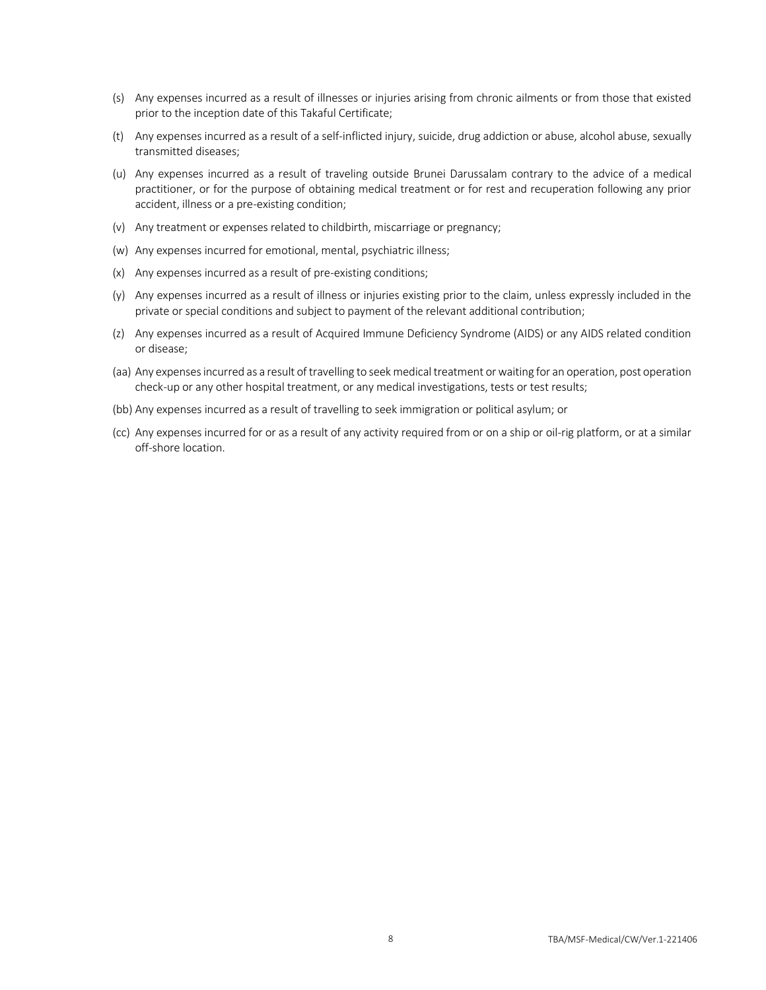- (s) Any expenses incurred as a result of illnesses or injuries arising from chronic ailments or from those that existed prior to the inception date of this Takaful Certificate;
- (t) Any expenses incurred as a result of a self-inflicted injury, suicide, drug addiction or abuse, alcohol abuse, sexually transmitted diseases;
- (u) Any expenses incurred as a result of traveling outside Brunei Darussalam contrary to the advice of a medical practitioner, or for the purpose of obtaining medical treatment or for rest and recuperation following any prior accident, illness or a pre-existing condition;
- (v) Any treatment or expenses related to childbirth, miscarriage or pregnancy;
- (w) Any expenses incurred for emotional, mental, psychiatric illness;
- (x) Any expenses incurred as a result of pre-existing conditions;
- (y) Any expenses incurred as a result of illness or injuries existing prior to the claim, unless expressly included in the private or special conditions and subject to payment of the relevant additional contribution;
- (z) Any expenses incurred as a result of Acquired Immune Deficiency Syndrome (AIDS) or any AIDS related condition or disease;
- (aa) Any expenses incurred as a result of travelling to seek medical treatment or waiting for an operation, post operation check-up or any other hospital treatment, or any medical investigations, tests or test results;
- (bb) Any expenses incurred as a result of travelling to seek immigration or political asylum; or
- (cc) Any expenses incurred for or as a result of any activity required from or on a ship or oil-rig platform, or at a similar off-shore location.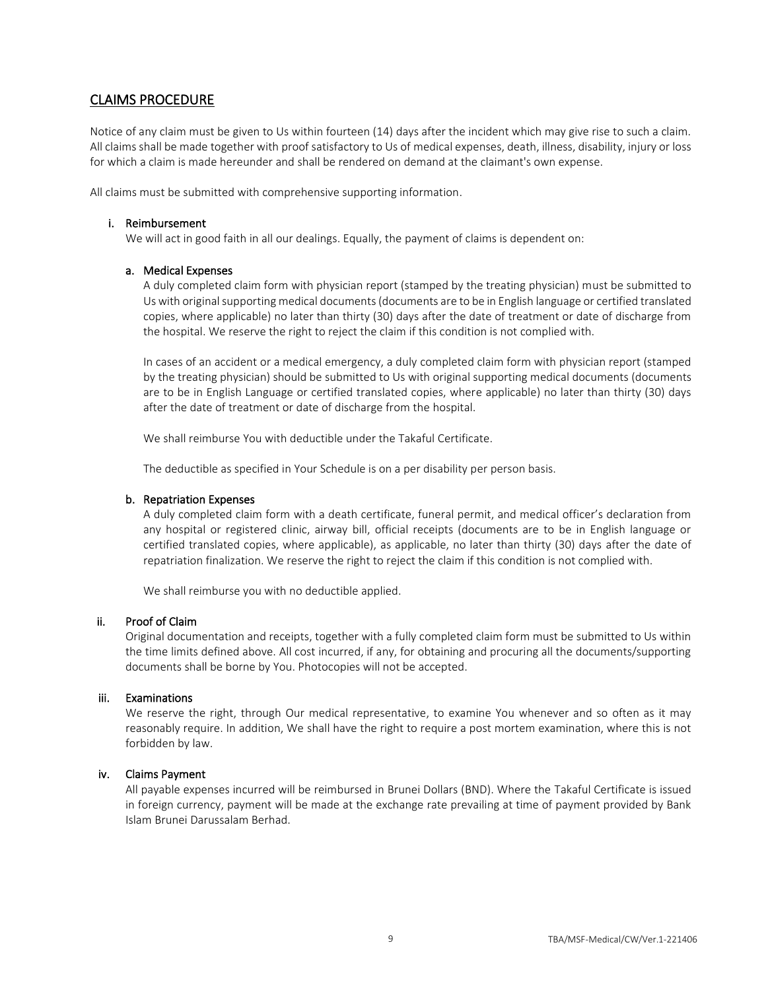### CLAIMS PROCEDURE

Notice of any claim must be given to Us within fourteen (14) days after the incident which may give rise to such a claim. All claims shall be made together with proof satisfactory to Us of medical expenses, death, illness, disability, injury or loss for which a claim is made hereunder and shall be rendered on demand at the claimant's own expense.

All claims must be submitted with comprehensive supporting information.

#### i. Reimbursement

We will act in good faith in all our dealings. Equally, the payment of claims is dependent on:

#### a. Medical Expenses

A duly completed claim form with physician report (stamped by the treating physician) must be submitted to Us with original supporting medical documents (documents are to be in English language or certified translated copies, where applicable) no later than thirty (30) days after the date of treatment or date of discharge from the hospital. We reserve the right to reject the claim if this condition is not complied with.

In cases of an accident or a medical emergency, a duly completed claim form with physician report (stamped by the treating physician) should be submitted to Us with original supporting medical documents (documents are to be in English Language or certified translated copies, where applicable) no later than thirty (30) days after the date of treatment or date of discharge from the hospital.

We shall reimburse You with deductible under the Takaful Certificate.

The deductible as specified in Your Schedule is on a per disability per person basis.

#### b. Repatriation Expenses

A duly completed claim form with a death certificate, funeral permit, and medical officer's declaration from any hospital or registered clinic, airway bill, official receipts (documents are to be in English language or certified translated copies, where applicable), as applicable, no later than thirty (30) days after the date of repatriation finalization. We reserve the right to reject the claim if this condition is not complied with.

We shall reimburse you with no deductible applied.

#### ii. Proof of Claim

Original documentation and receipts, together with a fully completed claim form must be submitted to Us within the time limits defined above. All cost incurred, if any, for obtaining and procuring all the documents/supporting documents shall be borne by You. Photocopies will not be accepted.

#### iii. Examinations

We reserve the right, through Our medical representative, to examine You whenever and so often as it may reasonably require. In addition, We shall have the right to require a post mortem examination, where this is not forbidden by law.

#### iv. Claims Payment

All payable expenses incurred will be reimbursed in Brunei Dollars (BND). Where the Takaful Certificate is issued in foreign currency, payment will be made at the exchange rate prevailing at time of payment provided by Bank Islam Brunei Darussalam Berhad.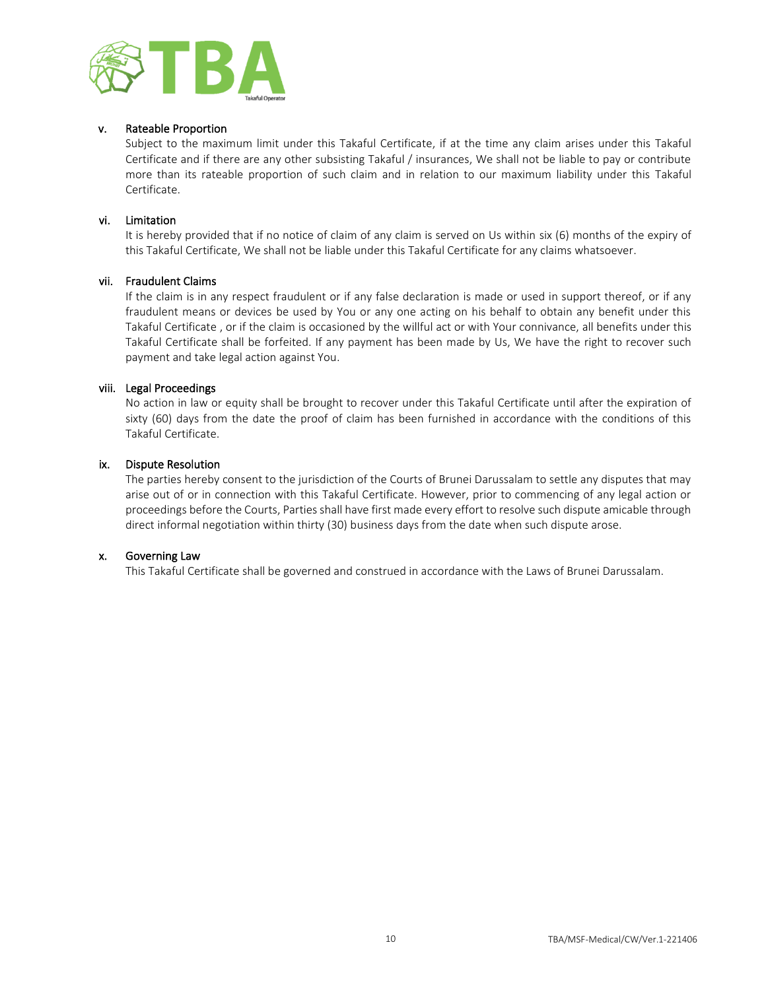

#### v. Rateable Proportion

Subject to the maximum limit under this Takaful Certificate, if at the time any claim arises under this Takaful Certificate and if there are any other subsisting Takaful / insurances, We shall not be liable to pay or contribute more than its rateable proportion of such claim and in relation to our maximum liability under this Takaful Certificate.

#### vi. Limitation

It is hereby provided that if no notice of claim of any claim is served on Us within six (6) months of the expiry of this Takaful Certificate, We shall not be liable under this Takaful Certificate for any claims whatsoever.

#### vii. Fraudulent Claims

If the claim is in any respect fraudulent or if any false declaration is made or used in support thereof, or if any fraudulent means or devices be used by You or any one acting on his behalf to obtain any benefit under this Takaful Certificate , or if the claim is occasioned by the willful act or with Your connivance, all benefits under this Takaful Certificate shall be forfeited. If any payment has been made by Us, We have the right to recover such payment and take legal action against You.

#### viii. Legal Proceedings

No action in law or equity shall be brought to recover under this Takaful Certificate until after the expiration of sixty (60) days from the date the proof of claim has been furnished in accordance with the conditions of this Takaful Certificate.

#### ix. Dispute Resolution

The parties hereby consent to the jurisdiction of the Courts of Brunei Darussalam to settle any disputes that may arise out of or in connection with this Takaful Certificate. However, prior to commencing of any legal action or proceedings before the Courts, Parties shall have first made every effort to resolve such dispute amicable through direct informal negotiation within thirty (30) business days from the date when such dispute arose.

#### x. Governing Law

This Takaful Certificate shall be governed and construed in accordance with the Laws of Brunei Darussalam.